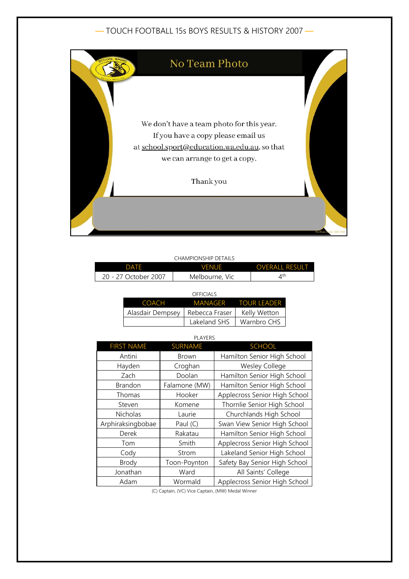## — TOUCH FOOTBALL 15s BOYS RESULTS & HISTORY 2007 —



|                      | CHAMPIONSHIP DETAILS |                         |
|----------------------|----------------------|-------------------------|
| <b>DATE</b>          | <b>VENUE</b>         | <b>OVERALL RESULT</b>   |
| 20 - 27 October 2007 | Melbourne, Vic       | $\varDelta^{\text{th}}$ |

| OFFICIALS        |                |                     |
|------------------|----------------|---------------------|
| COACH            |                | MANAGER TOUR LEADER |
| Alasdair Dempsey | Rebecca Fraser | Kelly Wetton        |
|                  | Lakeland SHS   | Warnbro CHS         |

| <b>PLAYERS</b>    |                |                               |
|-------------------|----------------|-------------------------------|
| <b>FIRST NAME</b> | <b>SURNAME</b> | <b>SCHOOL</b>                 |
| Antini            | Brown          | Hamilton Senior High School   |
| Hayden            | Croghan        | <b>Wesley College</b>         |
| Zach              | Doolan         | Hamilton Senior High School   |
| Brandon           | Falamone (MW)  | Hamilton Senior High School   |
| Thomas            | Hooker         | Applecross Senior High School |
| Steven            | Komene         | Thornlie Senior High School   |
| Nicholas          | Laurie         | Churchlands High School       |
| Arphiraksingbobae | Paul (C)       | Swan View Senior High School  |
| Derek             | Rakatau        | Hamilton Senior High School   |
| Tom               | Smith          | Applecross Senior High School |
| Cody              | Strom          | Lakeland Senior High School   |
| <b>Brody</b>      | Toon-Poynton   | Safety Bay Senior High School |
| Jonathan          | Ward           | All Saints' College           |
| Adam              | Wormald        | Applecross Senior High School |

(C) Captain, (VC) Vice Captain, (MW) Medal Winner